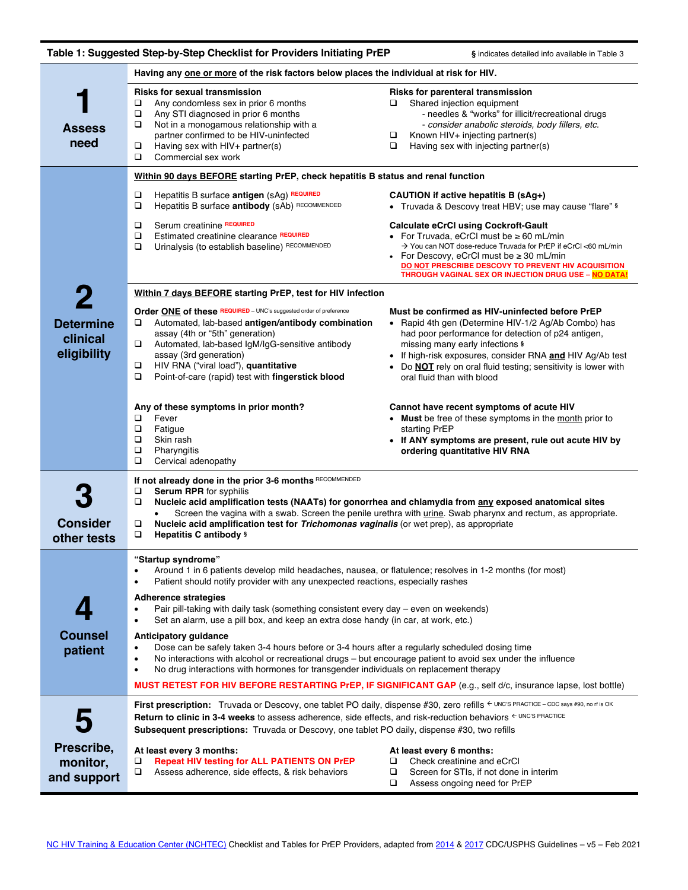|                                                                                         | Table 1: Suggested Step-by-Step Checklist for Providers Initiating PrEP                                                                                                                                                                                                                                                                                                                                                                                                                                                                                                                                                                                                                                                                                                                                                                                                                                                                                                             | § indicates detailed info available in Table 3                                                                                                                                                                                                                                                                                                                     |  |  |  |  |  |
|-----------------------------------------------------------------------------------------|-------------------------------------------------------------------------------------------------------------------------------------------------------------------------------------------------------------------------------------------------------------------------------------------------------------------------------------------------------------------------------------------------------------------------------------------------------------------------------------------------------------------------------------------------------------------------------------------------------------------------------------------------------------------------------------------------------------------------------------------------------------------------------------------------------------------------------------------------------------------------------------------------------------------------------------------------------------------------------------|--------------------------------------------------------------------------------------------------------------------------------------------------------------------------------------------------------------------------------------------------------------------------------------------------------------------------------------------------------------------|--|--|--|--|--|
| Having any one or more of the risk factors below places the individual at risk for HIV. |                                                                                                                                                                                                                                                                                                                                                                                                                                                                                                                                                                                                                                                                                                                                                                                                                                                                                                                                                                                     |                                                                                                                                                                                                                                                                                                                                                                    |  |  |  |  |  |
| ÷<br><b>Assess</b><br>need                                                              | <b>Risks for sexual transmission</b><br>Any condomless sex in prior 6 months<br>□<br>$\Box$<br>Any STI diagnosed in prior 6 months<br>□<br>Not in a monogamous relationship with a<br>partner confirmed to be HIV-uninfected<br>$\Box$<br>Having sex with HIV+ partner(s)<br>$\Box$<br>Commercial sex work                                                                                                                                                                                                                                                                                                                                                                                                                                                                                                                                                                                                                                                                          | Risks for parenteral transmission<br>Shared injection equipment<br>u<br>- needles & "works" for illicit/recreational drugs<br>- consider anabolic steroids, body fillers, etc.<br>Known HIV+ injecting partner(s)<br>□<br>$\Box$<br>Having sex with injecting partner(s)                                                                                           |  |  |  |  |  |
|                                                                                         | Within 90 days BEFORE starting PrEP, check hepatitis B status and renal function                                                                                                                                                                                                                                                                                                                                                                                                                                                                                                                                                                                                                                                                                                                                                                                                                                                                                                    |                                                                                                                                                                                                                                                                                                                                                                    |  |  |  |  |  |
|                                                                                         | Hepatitis B surface antigen (sAg) REQUIRED<br>❏<br>Hepatitis B surface antibody (sAb) RECOMMENDED<br>$\Box$                                                                                                                                                                                                                                                                                                                                                                                                                                                                                                                                                                                                                                                                                                                                                                                                                                                                         | CAUTION if active hepatitis B (sAg+)<br>• Truvada & Descovy treat HBV; use may cause "flare" §                                                                                                                                                                                                                                                                     |  |  |  |  |  |
|                                                                                         | Serum creatinine REQUIRED<br>□<br>Estimated creatinine clearance REQUIRED<br>$\Box$<br>Urinalysis (to establish baseline) RECOMMENDED<br>$\Box$                                                                                                                                                                                                                                                                                                                                                                                                                                                                                                                                                                                                                                                                                                                                                                                                                                     | <b>Calculate eCrCI using Cockroft-Gault</b><br>For Truvada, eCrCl must be $\geq 60$ mL/min<br>$\bullet$<br>→ You can NOT dose-reduce Truvada for PrEP if eCrCl <60 mL/min<br>For Descovy, eCrCI must be $\geq 30$ mL/min<br>DO NOT PRESCRIBE DESCOVY TO PREVENT HIV ACQUISITION<br><b>THROUGH VAGINAL SEX OR INJECTION DRUG USE - NO DATA!</b>                     |  |  |  |  |  |
| 2                                                                                       | Within 7 days BEFORE starting PrEP, test for HIV infection                                                                                                                                                                                                                                                                                                                                                                                                                                                                                                                                                                                                                                                                                                                                                                                                                                                                                                                          |                                                                                                                                                                                                                                                                                                                                                                    |  |  |  |  |  |
| <b>Determine</b><br>clinical<br>eligibility                                             | Order ONE of these REQUIRED - UNC's suggested order of preference<br>□<br>Automated, lab-based antigen/antibody combination<br>assay (4th or "5th" generation)<br>Automated, lab-based IgM/IgG-sensitive antibody<br>assay (3rd generation)<br>HIV RNA ("viral load"), quantitative<br>o.<br>$\Box$<br>Point-of-care (rapid) test with fingerstick blood                                                                                                                                                                                                                                                                                                                                                                                                                                                                                                                                                                                                                            | Must be confirmed as HIV-uninfected before PrEP<br>• Rapid 4th gen (Determine HIV-1/2 Ag/Ab Combo) has<br>had poor performance for detection of p24 antigen,<br>missing many early infections \$<br>• If high-risk exposures, consider RNA and HIV Ag/Ab test<br>Do <b>NOT</b> rely on oral fluid testing; sensitivity is lower with<br>oral fluid than with blood |  |  |  |  |  |
|                                                                                         | Any of these symptoms in prior month?<br>Fever<br>$\Box$<br>$\Box$<br>Fatigue<br>$\Box$<br>Skin rash<br>$\Box$<br>Pharyngitis<br>$\Box$<br>Cervical adenopathy                                                                                                                                                                                                                                                                                                                                                                                                                                                                                                                                                                                                                                                                                                                                                                                                                      | Cannot have recent symptoms of acute HIV<br><b>Must</b> be free of these symptoms in the month prior to<br>starting PrEP<br>• If ANY symptoms are present, rule out acute HIV by<br>ordering quantitative HIV RNA                                                                                                                                                  |  |  |  |  |  |
| <b>Consider</b><br>other tests                                                          | If not already done in the prior 3-6 months RECOMMENDED<br>$\Box$<br><b>Serum RPR</b> for syphilis<br>❏<br>Nucleic acid amplification tests (NAATs) for gonorrhea and chlamydia from any exposed anatomical sites<br>Screen the vagina with a swab. Screen the penile urethra with urine. Swab pharynx and rectum, as appropriate.<br>$\Box$<br>Nucleic acid amplification test for Trichomonas vaginalis (or wet prep), as appropriate<br>❏<br>Hepatitis C antibody §                                                                                                                                                                                                                                                                                                                                                                                                                                                                                                              |                                                                                                                                                                                                                                                                                                                                                                    |  |  |  |  |  |
|                                                                                         | "Startup syndrome"<br>Around 1 in 6 patients develop mild headaches, nausea, or flatulence; resolves in 1-2 months (for most)<br>$\bullet$<br>Patient should notify provider with any unexpected reactions, especially rashes<br>$\bullet$<br><b>Adherence strategies</b><br>Pair pill-taking with daily task (something consistent every day - even on weekends)<br>$\bullet$<br>Set an alarm, use a pill box, and keep an extra dose handy (in car, at work, etc.)<br>$\bullet$<br>Anticipatory guidance<br>Dose can be safely taken 3-4 hours before or 3-4 hours after a regularly scheduled dosing time<br>$\bullet$<br>No interactions with alcohol or recreational drugs – but encourage patient to avoid sex under the influence<br>$\bullet$<br>No drug interactions with hormones for transgender individuals on replacement therapy<br>$\bullet$<br><b>MUST RETEST FOR HIV BEFORE RESTARTING PrEP, IF SIGNIFICANT GAP</b> (e.g., self d/c, insurance lapse, lost bottle) |                                                                                                                                                                                                                                                                                                                                                                    |  |  |  |  |  |
| Counsel<br>patient                                                                      |                                                                                                                                                                                                                                                                                                                                                                                                                                                                                                                                                                                                                                                                                                                                                                                                                                                                                                                                                                                     |                                                                                                                                                                                                                                                                                                                                                                    |  |  |  |  |  |
|                                                                                         | First prescription: Truvada or Descovy, one tablet PO daily, dispense #30, zero refills < UNC'S PRACTICE - CDC says #90, no rf is OK<br>Return to clinic in 3-4 weeks to assess adherence, side effects, and risk-reduction behaviors $\epsilon$ UNC'S PRACTICE<br><b>Subsequent prescriptions:</b> Truvada or Descovy, one tablet PO daily, dispense #30, two refills                                                                                                                                                                                                                                                                                                                                                                                                                                                                                                                                                                                                              |                                                                                                                                                                                                                                                                                                                                                                    |  |  |  |  |  |
| Prescribe,<br>monitor,<br>and support                                                   | At least every 3 months:<br><b>Repeat HIV testing for ALL PATIENTS ON PrEP</b><br>❏<br>□<br>Assess adherence, side effects, & risk behaviors                                                                                                                                                                                                                                                                                                                                                                                                                                                                                                                                                                                                                                                                                                                                                                                                                                        | At least every 6 months:<br>□<br>Check creatinine and eCrCl<br>□<br>Screen for STIs, if not done in interim<br>$\Box$<br>Assess ongoing need for PrEP                                                                                                                                                                                                              |  |  |  |  |  |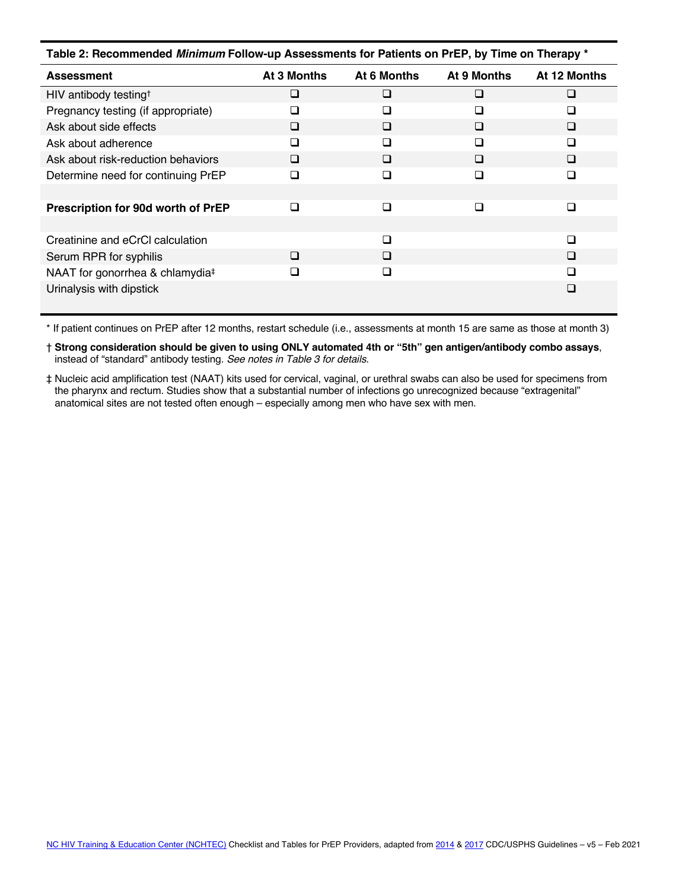| Table 2: Recommended Minimum Follow-up Assessments for Patients on PrEP, by Time on Therapy * |             |             |             |              |  |  |  |
|-----------------------------------------------------------------------------------------------|-------------|-------------|-------------|--------------|--|--|--|
| <b>Assessment</b>                                                                             | At 3 Months | At 6 Months | At 9 Months | At 12 Months |  |  |  |
| HIV antibody testing <sup>+</sup>                                                             | □           | □           | □           | $\Box$       |  |  |  |
| Pregnancy testing (if appropriate)                                                            | П           | □           | □           | □            |  |  |  |
| Ask about side effects                                                                        | □           | □           | □           | □            |  |  |  |
| Ask about adherence                                                                           | □           | □           | □           | □            |  |  |  |
| Ask about risk-reduction behaviors                                                            | □           | □           | □           | □            |  |  |  |
| Determine need for continuing PrEP                                                            | П           | □           | □           | □            |  |  |  |
|                                                                                               |             |             |             |              |  |  |  |
| Prescription for 90d worth of PrEP                                                            | ◻           | □           | ⊓           | □            |  |  |  |
|                                                                                               |             |             |             |              |  |  |  |
| Creatinine and eCrCl calculation                                                              |             | $\Box$      |             | $\Box$       |  |  |  |
| Serum RPR for syphilis                                                                        | ◻           | □           |             | $\Box$       |  |  |  |
| NAAT for gonorrhea & chlamydia <sup>‡</sup>                                                   |             | □           |             | П            |  |  |  |
| Urinalysis with dipstick                                                                      |             |             |             | □            |  |  |  |

\* If patient continues on PrEP after 12 months, restart schedule (i.e., assessments at month 15 are same as those at month 3)

† **Strong consideration should be given to using ONLY automated 4th or "5th" gen antigen/antibody combo assays**, instead of "standard" antibody testing. *See notes in Table 3 for details*.

‡ Nucleic acid amplification test (NAAT) kits used for cervical, vaginal, or urethral swabs can also be used for specimens from the pharynx and rectum. Studies show that a substantial number of infections go unrecognized because "extragenital" anatomical sites are not tested often enough – especially among men who have sex with men.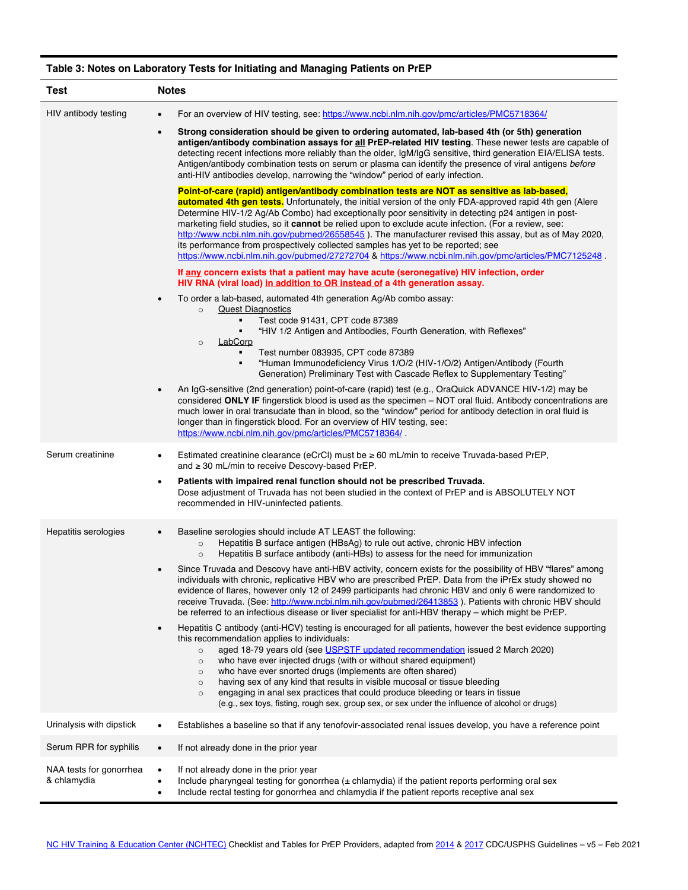## **Table 3: Notes on Laboratory Tests for Initiating and Managing Patients on PrEP**

| Test                                   | <b>Notes</b>                                                                                                                                                                                                                                                                                                                                                                                                                                                                                                                                                                                                                                                                                                                                                                                                                                                                                                                                                                                                                                                                                                                                                             |  |  |
|----------------------------------------|--------------------------------------------------------------------------------------------------------------------------------------------------------------------------------------------------------------------------------------------------------------------------------------------------------------------------------------------------------------------------------------------------------------------------------------------------------------------------------------------------------------------------------------------------------------------------------------------------------------------------------------------------------------------------------------------------------------------------------------------------------------------------------------------------------------------------------------------------------------------------------------------------------------------------------------------------------------------------------------------------------------------------------------------------------------------------------------------------------------------------------------------------------------------------|--|--|
| HIV antibody testing                   | For an overview of HIV testing, see: https://www.ncbi.nlm.nih.gov/pmc/articles/PMC5718364/<br>$\bullet$                                                                                                                                                                                                                                                                                                                                                                                                                                                                                                                                                                                                                                                                                                                                                                                                                                                                                                                                                                                                                                                                  |  |  |
|                                        | Strong consideration should be given to ordering automated, lab-based 4th (or 5th) generation<br>$\bullet$<br>antigen/antibody combination assays for all PrEP-related HIV testing. These newer tests are capable of<br>detecting recent infections more reliably than the older, IgM/IgG sensitive, third generation EIA/ELISA tests.<br>Antigen/antibody combination tests on serum or plasma can identify the presence of viral antigens before<br>anti-HIV antibodies develop, narrowing the "window" period of early infection.                                                                                                                                                                                                                                                                                                                                                                                                                                                                                                                                                                                                                                     |  |  |
|                                        | Point-of-care (rapid) antigen/antibody combination tests are NOT as sensitive as lab-based,<br><b>automated 4th gen tests.</b> Unfortunately, the initial version of the only FDA-approved rapid 4th gen (Alere<br>Determine HIV-1/2 Ag/Ab Combo) had exceptionally poor sensitivity in detecting p24 antigen in post-<br>marketing field studies, so it cannot be relied upon to exclude acute infection. (For a review, see:<br>http://www.ncbi.nlm.nih.gov/pubmed/26558545). The manufacturer revised this assay, but as of May 2020,<br>its performance from prospectively collected samples has yet to be reported; see<br>https://www.ncbi.nlm.nih.gov/pubmed/27272704 & https://www.ncbi.nlm.nih.gov/pmc/articles/PMC7125248<br>If any concern exists that a patient may have acute (seronegative) HIV infection, order<br>HIV RNA (viral load) in addition to OR instead of a 4th generation assay.<br>To order a lab-based, automated 4th generation Ag/Ab combo assay:<br>$\bullet$<br><b>Quest Diagnostics</b><br>$\circ$<br>Test code 91431, CPT code 87389<br>٠<br>"HIV 1/2 Antigen and Antibodies, Fourth Generation, with Reflexes"<br>LabCorp<br>$\circ$ |  |  |
|                                        | Test number 083935, CPT code 87389<br>"Human Immunodeficiency Virus 1/O/2 (HIV-1/O/2) Antigen/Antibody (Fourth<br>٠<br>Generation) Preliminary Test with Cascade Reflex to Supplementary Testing"                                                                                                                                                                                                                                                                                                                                                                                                                                                                                                                                                                                                                                                                                                                                                                                                                                                                                                                                                                        |  |  |
|                                        | An IgG-sensitive (2nd generation) point-of-care (rapid) test (e.g., OraQuick ADVANCE HIV-1/2) may be<br>$\bullet$<br>considered ONLY IF fingerstick blood is used as the specimen – NOT oral fluid. Antibody concentrations are<br>much lower in oral transudate than in blood, so the "window" period for antibody detection in oral fluid is<br>longer than in fingerstick blood. For an overview of HIV testing, see:<br>https://www.ncbi.nlm.nih.gov/pmc/articles/PMC5718364/                                                                                                                                                                                                                                                                                                                                                                                                                                                                                                                                                                                                                                                                                        |  |  |
| Serum creatinine                       | Estimated creatinine clearance (eCrCl) must be $\geq 60$ mL/min to receive Truvada-based PrEP,<br>$\bullet$<br>and ≥ 30 mL/min to receive Descovy-based PrEP.                                                                                                                                                                                                                                                                                                                                                                                                                                                                                                                                                                                                                                                                                                                                                                                                                                                                                                                                                                                                            |  |  |
|                                        | Patients with impaired renal function should not be prescribed Truvada.<br>$\bullet$<br>Dose adjustment of Truvada has not been studied in the context of PrEP and is ABSOLUTELY NOT<br>recommended in HIV-uninfected patients.                                                                                                                                                                                                                                                                                                                                                                                                                                                                                                                                                                                                                                                                                                                                                                                                                                                                                                                                          |  |  |
| Hepatitis serologies                   | Baseline serologies should include AT LEAST the following:<br>$\bullet$<br>Hepatitis B surface antigen (HBsAg) to rule out active, chronic HBV infection<br>$\circ$<br>Hepatitis B surface antibody (anti-HBs) to assess for the need for immunization<br>$\circ$                                                                                                                                                                                                                                                                                                                                                                                                                                                                                                                                                                                                                                                                                                                                                                                                                                                                                                        |  |  |
|                                        | Since Truvada and Descovy have anti-HBV activity, concern exists for the possibility of HBV "flares" among<br>$\bullet$<br>individuals with chronic, replicative HBV who are prescribed PrEP. Data from the iPrEx study showed no<br>evidence of flares, however only 12 of 2499 participants had chronic HBV and only 6 were randomized to<br>receive Truvada. (See: http://www.ncbi.nlm.nih.gov/pubmed/26413853). Patients with chronic HBV should<br>be referred to an infectious disease or liver specialist for anti-HBV therapy - which might be PrEP.                                                                                                                                                                                                                                                                                                                                                                                                                                                                                                                                                                                                             |  |  |
|                                        | Hepatitis C antibody (anti-HCV) testing is encouraged for all patients, however the best evidence supporting<br>$\bullet$<br>this recommendation applies to individuals:<br>aged 18-79 years old (see USPSTF updated recommendation issued 2 March 2020)<br>$\circ$<br>who have ever injected drugs (with or without shared equipment)<br>$\circ$<br>who have ever snorted drugs (implements are often shared)<br>$\circ$<br>having sex of any kind that results in visible mucosal or tissue bleeding<br>$\circ$<br>engaging in anal sex practices that could produce bleeding or tears in tissue<br>$\circ$<br>(e.g., sex toys, fisting, rough sex, group sex, or sex under the influence of alcohol or drugs)                                                                                                                                                                                                                                                                                                                                                                                                                                                         |  |  |
| Urinalysis with dipstick               | Establishes a baseline so that if any tenofovir-associated renal issues develop, you have a reference point<br>$\bullet$                                                                                                                                                                                                                                                                                                                                                                                                                                                                                                                                                                                                                                                                                                                                                                                                                                                                                                                                                                                                                                                 |  |  |
| Serum RPR for syphilis                 | If not already done in the prior year<br>$\bullet$                                                                                                                                                                                                                                                                                                                                                                                                                                                                                                                                                                                                                                                                                                                                                                                                                                                                                                                                                                                                                                                                                                                       |  |  |
| NAA tests for gonorrhea<br>& chlamydia | If not already done in the prior year<br>$\bullet$<br>Include pharyngeal testing for gonorrhea $(\pm$ chlamydia) if the patient reports performing oral sex<br>$\bullet$<br>Include rectal testing for gonorrhea and chlamydia if the patient reports receptive anal sex<br>$\bullet$                                                                                                                                                                                                                                                                                                                                                                                                                                                                                                                                                                                                                                                                                                                                                                                                                                                                                    |  |  |